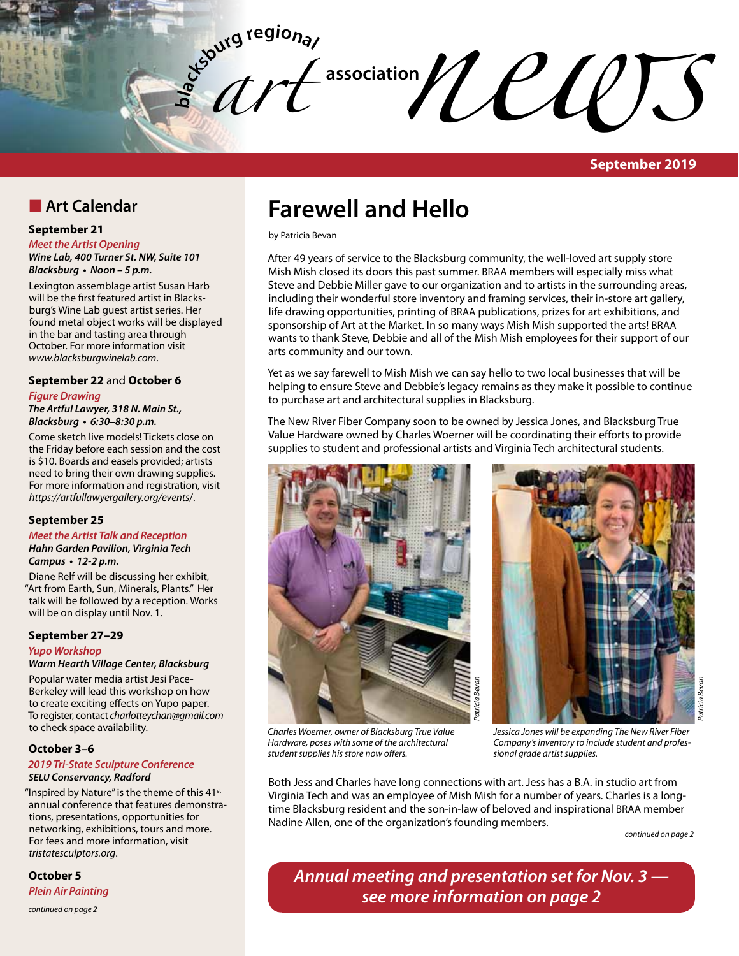$\mathcal{U}$  association  $\mathcal{U}$  association **contract of the CLOS** 

*art* 

**bla**

**September 2019**

# **n** Art Calendar

### **September 21**

#### *Meet the Artist Opening*

*Wine Lab, 400 Turner St. NW, Suite 101* **Blacksburg • Noon – 5 p.m.** 

Lexington assemblage artist Susan Harb will be the first featured artist in Blacksburg's Wine Lab guest artist series. Her found metal object works will be displayed in the bar and tasting area through October. For more information visit *www.blacksburgwinelab.com*.

#### **September 22** and **October 6**

# *Figure Drawing*

*The Artful Lawyer, 318 N. Main St.,*  **Blacksburg • 6:30–8:30 p.m.** 

Come sketch live models! Tickets close on the Friday before each session and the cost is \$10. Boards and easels provided; artists need to bring their own drawing supplies. For more information and registration, visit *https://artfullawyergallery.org/events*/.

### **September 25**

#### **Meet the Artist Talk and Reception Hahn Garden Pavilion, Virginia Tech Campus • 12-2 p.m.**

Diane Relf will be discussing her exhibit, "Art from Earth, Sun, Minerals, Plants." Her talk will be followed by a reception. Works will be on display until Nov. 1.

# **September 27–29**

# **Yupo Workshop**

# **Warm Hearth Village Center, Blacksburg**

Popular water media artist Jesi Pace-Berkeley will lead this workshop on how to create exciting effects on Yupo paper. To register, contact *charlotteychan@gmail.com* to check space availability.

# **October 3–6**

#### **2019 Tri-State Sculpture Conference** *SELU* **Conservancy, Radford**

"Inspired by Nature" is the theme of this  $41<sup>st</sup>$ annual conference that features demonstrations, presentations, opportunities for networking, exhibitions, tours and more. For fees and more information, visit *tristatesculptors.org*.

# **October 5**

*Plein Air Painting*

*continued on page 2*

# **Farewell and Hello**

by Patricia Bevan

After 49 years of service to the Blacksburg community, the well-loved art supply store Mish Mish closed its doors this past summer. BRAA members will especially miss what Steve and Debbie Miller gave to our organization and to artists in the surrounding areas, including their wonderful store inventory and framing services, their in-store art gallery, life drawing opportunities, printing of BRAA publications, prizes for art exhibitions, and sponsorship of Art at the Market. In so many ways Mish Mish supported the arts! BRAA wants to thank Steve, Debbie and all of the Mish Mish employees for their support of our arts community and our town.

Yet as we say farewell to Mish Mish we can say hello to two local businesses that will be helping to ensure Steve and Debbie's legacy remains as they make it possible to continue to purchase art and architectural supplies in Blacksburg.

The New River Fiber Company soon to be owned by Jessica Jones, and Blacksburg True Value Hardware owned by Charles Woerner will be coordinating their efforts to provide supplies to student and professional artists and Virginia Tech architectural students.





*Charles Woerner, owner of Blacksburg True Value Hardware, poses with some of the architectural student supplies his store now offers.*

*Jessica Jones will be expanding The New River Fiber Company's inventory to include student and professional grade artist supplies.* 

Both Jess and Charles have long connections with art. Jess has a B.A. in studio art from Virginia Tech and was an employee of Mish Mish for a number of years. Charles is a longtime Blacksburg resident and the son-in-law of beloved and inspirational BRAA member Nadine Allen, one of the organization's founding members.

*Patricia Bevan*

*continued on page 2*

*Patricia Bevan*

**Annual meeting and presentation set for Nov. 3 see more information on page 2**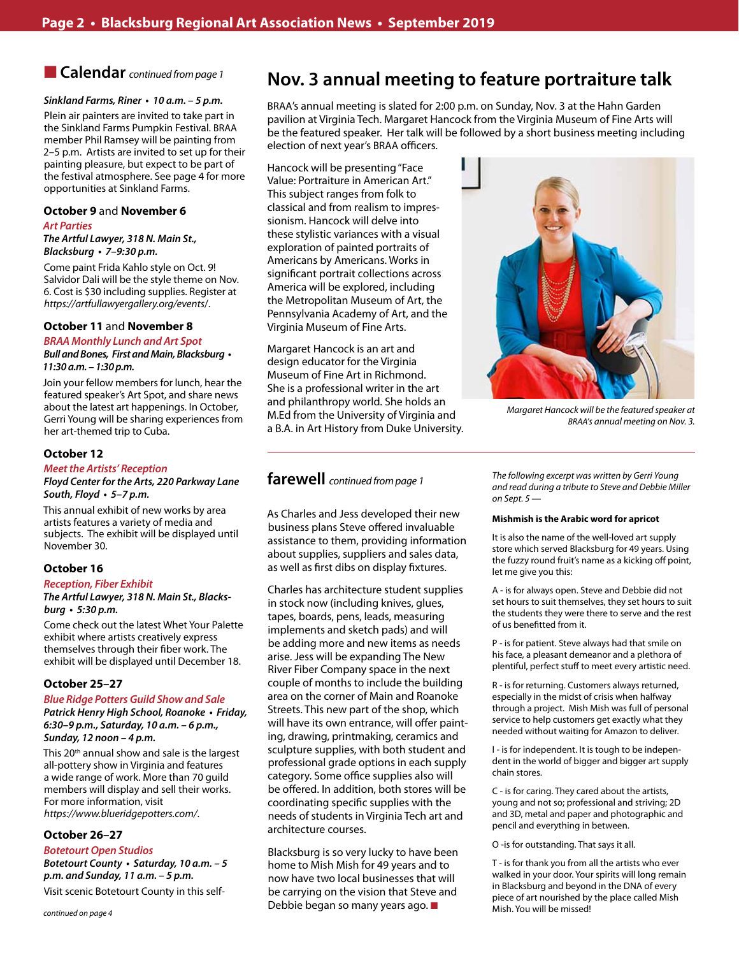# **n Calendar** *continued from page 1*

#### **Sinkland Farms, Riner • 10 a.m. – 5 p.m.**

Plein air painters are invited to take part in the Sinkland Farms Pumpkin Festival. BRAA member Phil Ramsey will be painting from 2–5 p.m. Artists are invited to set up for their painting pleasure, but expect to be part of the festival atmosphere. See page 4 for more opportunities at Sinkland Farms.

#### **October 9** and **November 6**

#### *Art Parties*

*The Artful Lawyer, 318 N. Main St.,*  **Blacksburg • 7–9:30 p.m.** 

Come paint Frida Kahlo style on Oct. 9! Salvidor Dali will be the style theme on Nov. 6. Cost is \$30 including supplies. Register at *https://artfullawyergallery.org/events*/.

#### **October 11** and **November 8**

**BRAA Monthly Lunch and Art Spot Bull and Bones, First and Main, Blacksburg • 11:30 a.m. – 1:30 p.m.** 

Join your fellow members for lunch, hear the featured speaker's Art Spot, and share news about the latest art happenings. In October, Gerri Young will be sharing experiences from her art-themed trip to Cuba.

#### **October 12**

#### **Meet the Artists' Reception**

### **Floyd Center for the Arts, 220 Parkway Lane South, Floyd • 5–7 p.m.**

This annual exhibit of new works by area artists features a variety of media and subjects. The exhibit will be displayed until November 30.

### **October 16**

#### **Reception, Fiber Exhibit**

*The Artful Lawyer, 318 N. Main St., Blacks***burg • 5:30 p.m.** 

Come check out the latest Whet Your Palette exhibit where artists creatively express themselves through their fiber work. The exhibit will be displayed until December 18.

#### **October 25–27**

# **Blue Ridge Potters Guild Show and Sale**

**Patrick Henry High School, Roanoke • Friday, 6:30–9 p.m., Saturday, 10 a.m. – 6 p.m., Sunday, 12 noon – 4 p.m.**

This 20<sup>th</sup> annual show and sale is the largest all-pottery show in Virginia and features a wide range of work. More than 70 guild members will display and sell their works. For more information, visit *https://www.blueridgepotters.com/*.

### **October 26–27**

**Botetourt Open Studios Botetourt County • Saturday, 10 a.m. – 5 p.m. and Sunday, 11 a.m. – 5 p.m.**

Visit scenic Botetourt County in this self-

# **Nov. 3 annual meeting to feature portraiture talk**

BRAA's annual meeting is slated for 2:00 p.m. on Sunday, Nov. 3 at the Hahn Garden pavilion at Virginia Tech. Margaret Hancock from the Virginia Museum of Fine Arts will be the featured speaker. Her talk will be followed by a short business meeting including election of next year's BRAA officers.

Hancock will be presenting "Face Value: Portraiture in American Art." This subject ranges from folk to classical and from realism to impressionism. Hancock will delve into these stylistic variances with a visual exploration of painted portraits of Americans by Americans. Works in significant portrait collections across America will be explored, including the Metropolitan Museum of Art, the Pennsylvania Academy of Art, and the Virginia Museum of Fine Arts.

Margaret Hancock is an art and design educator for the Virginia Museum of Fine Art in Richmond. She is a professional writer in the art and philanthropy world. She holds an M.Ed from the University of Virginia and a B.A. in Art History from Duke University.

# **farewell** *continued from page 1*

As Charles and Jess developed their new business plans Steve offered invaluable assistance to them, providing information about supplies, suppliers and sales data, as well as first dibs on display fixtures.

Charles has architecture student supplies in stock now (including knives, glues, tapes, boards, pens, leads, measuring implements and sketch pads) and will be adding more and new items as needs arise. Jess will be expanding The New River Fiber Company space in the next couple of months to include the building area on the corner of Main and Roanoke Streets. This new part of the shop, which will have its own entrance, will offer painting, drawing, printmaking, ceramics and sculpture supplies, with both student and professional grade options in each supply category. Some office supplies also will be offered. In addition, both stores will be coordinating specific supplies with the needs of students in Virginia Tech art and architecture courses.

Blacksburg is so very lucky to have been home to Mish Mish for 49 years and to now have two local businesses that will be carrying on the vision that Steve and Debbie began so many years ago.  $\blacksquare$ 

*The following excerpt was written by Gerri Young and read during a tribute to Steve and Debbie Miller on Sept. 5 —*

#### **Mishmish is the Arabic word for apricot**

It is also the name of the well-loved art supply store which served Blacksburg for 49 years. Using the fuzzy round fruit's name as a kicking off point, let me give you this:

A - is for always open. Steve and Debbie did not set hours to suit themselves, they set hours to suit the students they were there to serve and the rest of us benefitted from it.

P - is for patient. Steve always had that smile on his face, a pleasant demeanor and a plethora of plentiful, perfect stuff to meet every artistic need.

R - is for returning. Customers always returned, especially in the midst of crisis when halfway through a project. Mish Mish was full of personal service to help customers get exactly what they needed without waiting for Amazon to deliver.

I - is for independent. It is tough to be independent in the world of bigger and bigger art supply chain stores.

C - is for caring. They cared about the artists, young and not so; professional and striving; 2D and 3D, metal and paper and photographic and pencil and everything in between.

O -is for outstanding. That says it all.

T - is for thank you from all the artists who ever walked in your door. Your spirits will long remain in Blacksburg and beyond in the DNA of every piece of art nourished by the place called Mish Mish. You will be missed!



*Margaret Hancock will be the featured speaker at BRAA's annual meeting on Nov. 3.*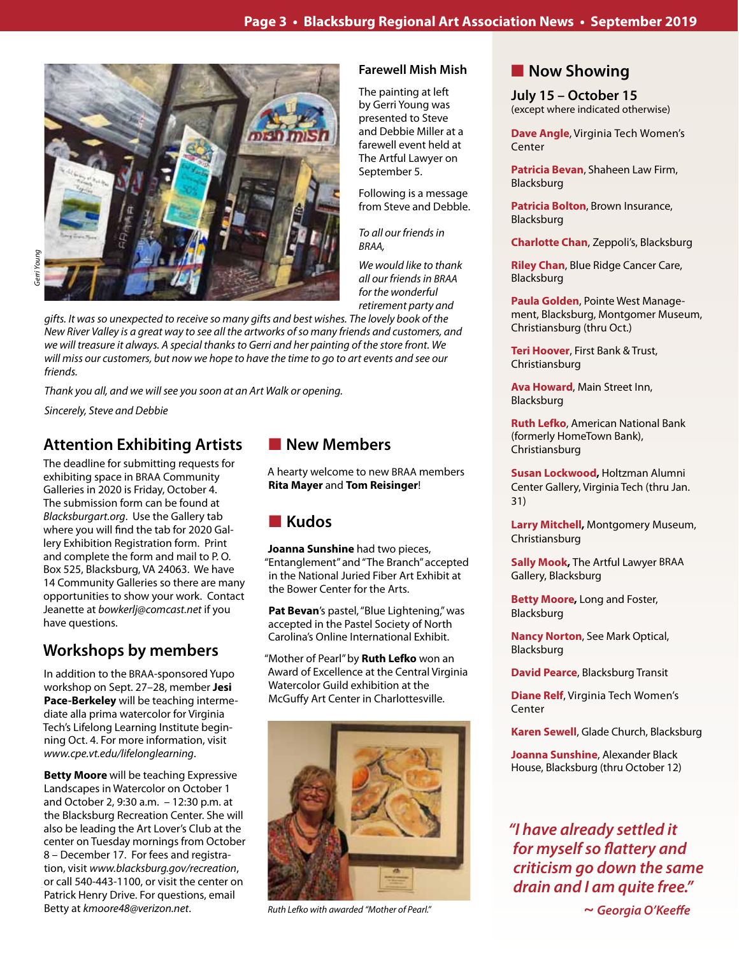

# *gifts. It was so unexpected to receive so many gifts and best wishes. The lovely book of the New River Valley is a great way to see all the artworks of so many friends and customers, and we will treasure it always. A special thanks to Gerri and her painting of the store front. We will miss our customers, but now we hope to have the time to go to art events and see our friends.*

*Thank you all, and we will see you soon at an Art Walk or opening.*

*Sincerely, Steve and Debbie*

# **Attention Exhibiting Artists**

The deadline for submitting requests for exhibiting space in BRAA Community Galleries in 2020 is Friday, October 4. The submission form can be found at *Blacksburgart.org*. Use the Gallery tab where you will find the tab for 2020 Gallery Exhibition Registration form. Print and complete the form and mail to P. O. Box 525, Blacksburg, VA 24063. We have 14 Community Galleries so there are many opportunities to show your work. Contact Jeanette at *bowkerlj@comcast.net* if you have questions.

# **Workshops by members**

In addition to the BRAA-sponsored Yupo workshop on Sept. 27–28, member **Jesi Pace-Berkeley** will be teaching intermediate alla prima watercolor for Virginia Tech's Lifelong Learning Institute beginning Oct. 4. For more information, visit *www.cpe.vt.edu/lifelonglearning*.

**Betty Moore** will be teaching Expressive Landscapes in Watercolor on October 1 and October 2, 9:30 a.m. – 12:30 p.m. at the Blacksburg Recreation Center. She will also be leading the Art Lover's Club at the center on Tuesday mornings from October 8 – December 17. For fees and registration, visit *www.blacksburg.gov/recreation*, or call 540-443-1100, or visit the center on Patrick Henry Drive. For questions, email Betty at *kmoore48@verizon.net*.

# **New Members**

A hearty welcome to new BRAA members **Rita Mayer** and **Tom Reisinger**!

# n **Kudos**

**Joanna Sunshine** had two pieces, "Entanglement" and "The Branch" accepted in the National Juried Fiber Art Exhibit at the Bower Center for the Arts.

Pat Bevan's pastel, "Blue Lightening," was accepted in the Pastel Society of North Carolina's Online International Exhibit.

"Mother of Pearl" by **Ruth Lefko** won an Award of Excellence at the Central Virginia Watercolor Guild exhibition at the McGuffy Art Center in Charlottesville.



*Ruth Lefko with awarded "Mother of Pearl."*

#### **Now Showing Farewell Mish Mish**

The painting at left by Gerri Young was presented to Steve and Debbie Miller at a farewell event held at The Artful Lawyer on September 5.

Following is a message from Steve and Debble.

*To all our friends in BRAA,*

*We would like to thank all our friends in BRAA for the wonderful retirement party and* 

**Dave Angle**, Virginia Tech Women's Center

**July 15 – October 15** (except where indicated otherwise)

**Patricia Bevan**, Shaheen Law Firm, Blacksburg

**Patricia Bolton**, Brown Insurance, Blacksburg

**Charlotte Chan**, Zeppoli's, Blacksburg

**Riley Chan**, Blue Ridge Cancer Care, Blacksburg

**Paula Golden**, Pointe West Management, Blacksburg, Montgomer Museum, Christiansburg (thru Oct.)

**Teri Hoover**, First Bank & Trust, Christiansburg

**Ava Howard**, Main Street Inn, Blacksburg

**Ruth Lefko**, American National Bank (formerly HomeTown Bank), Christiansburg

**Susan Lockwood,** Holtzman Alumni Center Gallery, Virginia Tech (thru Jan. 31)

**Larry Mitchell,** Montgomery Museum, Christiansburg

**Sally Mook,** The Artful Lawyer BRAA Gallery, Blacksburg

**Betty Moore,** Long and Foster, Blacksburg

**Nancy Norton**, See Mark Optical, Blacksburg

**David Pearce**, Blacksburg Transit

**Diane Relf**, Virginia Tech Women's Center

**Karen Sewell**, Glade Church, Blacksburg

**Joanna Sunshine**, Alexander Black House, Blacksburg (thru October 12)

*"I have already settled it*  **for myself so flattery and criticism go down the same drain and I am quite free."**

 *~* **Georgia O'Keeffe**